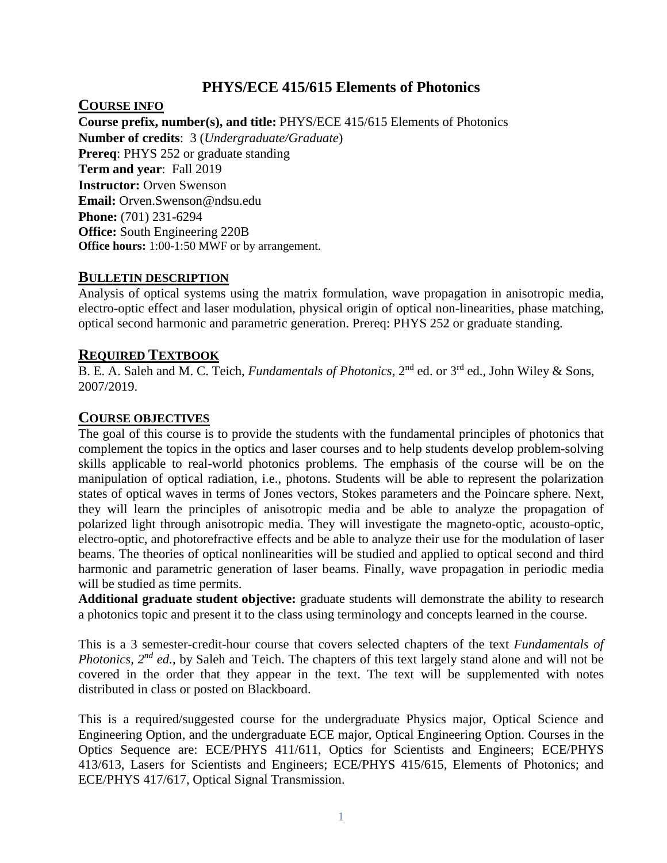## **PHYS/ECE 415/615 Elements of Photonics**

**COURSE INFO** 

**Course prefix, number(s), and title:** PHYS/ECE 415/615 Elements of Photonics **Number of credits**: 3 (*Undergraduate/Graduate*) **Prereq**: PHYS 252 or graduate standing **Term and year**: Fall 2019 **Instructor:** Orven Swenson **Email:** Orven.Swenson@ndsu.edu **Phone:** (701) 231-6294 **Office:** South Engineering 220B **Office hours:** 1:00-1:50 MWF or by arrangement.

## **BULLETIN DESCRIPTION**

Analysis of optical systems using the matrix formulation, wave propagation in anisotropic media, electro-optic effect and laser modulation, physical origin of optical non-linearities, phase matching, optical second harmonic and parametric generation. Prereq: PHYS 252 or graduate standing.

## **REQUIRED TEXTBOOK**

B. E. A. Saleh and M. C. Teich, *Fundamentals of Photonics*, 2nd ed. or 3rd ed., John Wiley & Sons, 2007/2019.

## **COURSE OBJECTIVES**

The goal of this course is to provide the students with the fundamental principles of photonics that complement the topics in the optics and laser courses and to help students develop problem-solving skills applicable to real-world photonics problems. The emphasis of the course will be on the manipulation of optical radiation, i.e., photons. Students will be able to represent the polarization states of optical waves in terms of Jones vectors, Stokes parameters and the Poincare sphere. Next, they will learn the principles of anisotropic media and be able to analyze the propagation of polarized light through anisotropic media. They will investigate the magneto-optic, acousto-optic, electro-optic, and photorefractive effects and be able to analyze their use for the modulation of laser beams. The theories of optical nonlinearities will be studied and applied to optical second and third harmonic and parametric generation of laser beams. Finally, wave propagation in periodic media will be studied as time permits.

**Additional graduate student objective:** graduate students will demonstrate the ability to research a photonics topic and present it to the class using terminology and concepts learned in the course.

This is a 3 semester-credit-hour course that covers selected chapters of the text *Fundamentals of Photonics, 2nd ed.*, by Saleh and Teich. The chapters of this text largely stand alone and will not be covered in the order that they appear in the text. The text will be supplemented with notes distributed in class or posted on Blackboard.

This is a required/suggested course for the undergraduate Physics major, Optical Science and Engineering Option, and the undergraduate ECE major, Optical Engineering Option. Courses in the Optics Sequence are: ECE/PHYS 411/611, Optics for Scientists and Engineers; ECE/PHYS 413/613, Lasers for Scientists and Engineers; ECE/PHYS 415/615, Elements of Photonics; and ECE/PHYS 417/617, Optical Signal Transmission.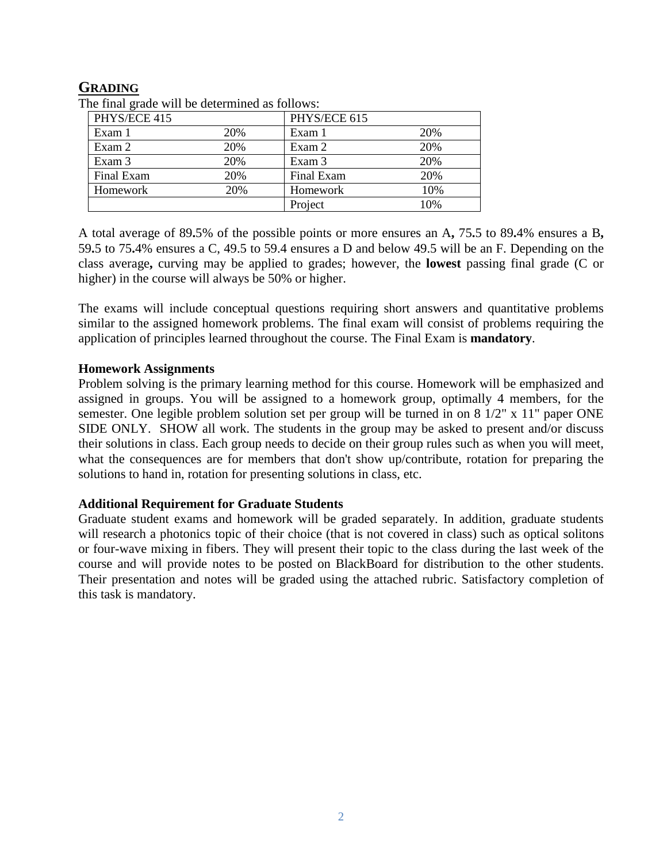## **GRADING**

| $\sim$ man grade will be determined as follows. |     |              |     |
|-------------------------------------------------|-----|--------------|-----|
| PHYS/ECE 415                                    |     | PHYS/ECE 615 |     |
| Exam 1                                          | 20% | Exam 1       | 20% |
| Exam 2                                          | 20% | Exam 2       | 20% |
| Exam 3                                          | 20% | Exam 3       | 20% |
| Final Exam                                      | 20% | Final Exam   | 20% |
| Homework                                        | 20% | Homework     | 10% |
|                                                 |     | Project      | 10% |

The final grade will be determined as follows:

A total average of 89**.**5% of the possible points or more ensures an A**,** 75**.**5 to 89**.**4% ensures a B**,**  59**.**5 to 75**.**4% ensures a C, 49.5 to 59.4 ensures a D and below 49.5 will be an F. Depending on the class average**,** curving may be applied to grades; however, the **lowest** passing final grade (C or higher) in the course will always be 50% or higher.

The exams will include conceptual questions requiring short answers and quantitative problems similar to the assigned homework problems. The final exam will consist of problems requiring the application of principles learned throughout the course. The Final Exam is **mandatory**.

#### **Homework Assignments**

Problem solving is the primary learning method for this course. Homework will be emphasized and assigned in groups. You will be assigned to a homework group, optimally 4 members, for the semester. One legible problem solution set per group will be turned in on 8 1/2" x 11" paper ONE SIDE ONLY. SHOW all work. The students in the group may be asked to present and/or discuss their solutions in class. Each group needs to decide on their group rules such as when you will meet, what the consequences are for members that don't show up/contribute, rotation for preparing the solutions to hand in, rotation for presenting solutions in class, etc.

## **Additional Requirement for Graduate Students**

Graduate student exams and homework will be graded separately. In addition, graduate students will research a photonics topic of their choice (that is not covered in class) such as optical solitons or four-wave mixing in fibers. They will present their topic to the class during the last week of the course and will provide notes to be posted on BlackBoard for distribution to the other students. Their presentation and notes will be graded using the attached rubric. Satisfactory completion of this task is mandatory.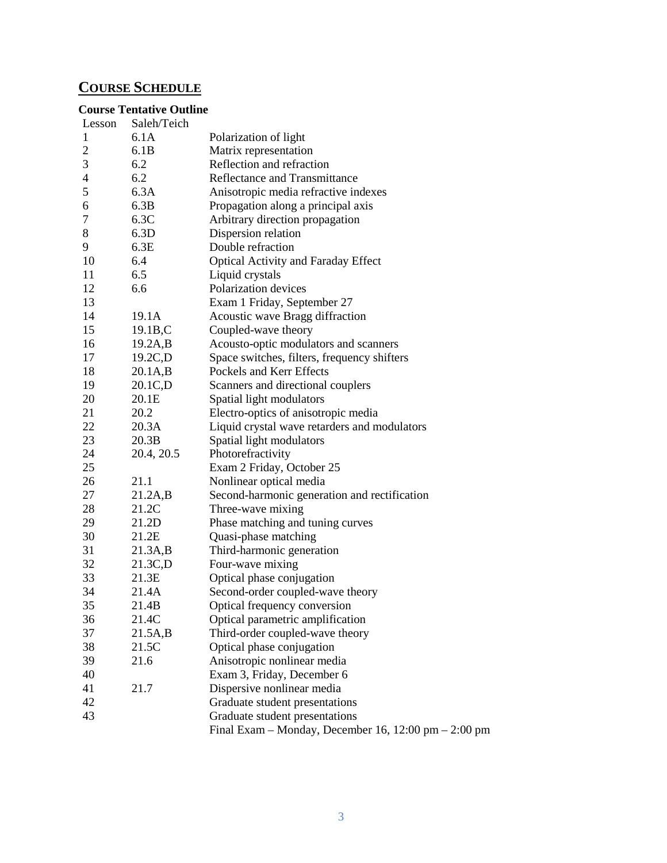# **COURSE SCHEDULE**

## **Course Tentative Outline**

| Lesson                   | Saleh/Teich          |                                                      |
|--------------------------|----------------------|------------------------------------------------------|
| 1                        | 6.1A                 | Polarization of light                                |
| $\overline{2}$           | 6.1B                 | Matrix representation                                |
| 3                        | 6.2                  | Reflection and refraction                            |
| $\overline{\mathcal{A}}$ | 6.2                  | Reflectance and Transmittance                        |
| 5                        | 6.3A                 | Anisotropic media refractive indexes                 |
| 6                        | 6.3B                 | Propagation along a principal axis                   |
| 7                        | 6.3C                 | Arbitrary direction propagation                      |
| 8                        | 6.3D                 | Dispersion relation                                  |
| 9                        | 6.3E                 | Double refraction                                    |
| 10                       | 6.4                  | <b>Optical Activity and Faraday Effect</b>           |
| 11                       | 6.5                  | Liquid crystals                                      |
| 12                       | 6.6                  | Polarization devices                                 |
| 13                       |                      | Exam 1 Friday, September 27                          |
| 14                       | 19.1A                | Acoustic wave Bragg diffraction                      |
| 15                       | 19.1B,C              | Coupled-wave theory                                  |
| 16                       | 19.2A,B              | Acousto-optic modulators and scanners                |
| 17                       | 19.2C,D              | Space switches, filters, frequency shifters          |
| 18                       | $20.1A$ <sub>B</sub> | Pockels and Kerr Effects                             |
| 19                       | 20.1C,D              | Scanners and directional couplers                    |
| 20                       | 20.1E                | Spatial light modulators                             |
| 21                       | 20.2                 | Electro-optics of anisotropic media                  |
| 22                       | 20.3A                | Liquid crystal wave retarders and modulators         |
| 23                       | 20.3B                | Spatial light modulators                             |
| 24                       | 20.4, 20.5           | Photorefractivity                                    |
| 25                       |                      | Exam 2 Friday, October 25                            |
| 26                       | 21.1                 | Nonlinear optical media                              |
| 27                       | 21.2A,B              | Second-harmonic generation and rectification         |
| 28                       | 21.2C                | Three-wave mixing                                    |
| 29                       | 21.2D                | Phase matching and tuning curves                     |
| 30                       | 21.2E                | Quasi-phase matching                                 |
| 31                       | 21.3A,B              | Third-harmonic generation                            |
| 32                       | 21.3C,D              | Four-wave mixing                                     |
| 33                       | 21.3E                | Optical phase conjugation                            |
| 34                       | 21.4A                | Second-order coupled-wave theory                     |
| 35                       | 21.4B                | Optical frequency conversion                         |
| 36                       | 21.4C                | Optical parametric amplification                     |
| 37                       | 21.5A,B              | Third-order coupled-wave theory                      |
| 38                       | 21.5C                | Optical phase conjugation                            |
| 39                       | 21.6                 | Anisotropic nonlinear media                          |
| 40                       |                      | Exam 3, Friday, December 6                           |
| 41                       | 21.7                 | Dispersive nonlinear media                           |
| 42                       |                      | Graduate student presentations                       |
| 43                       |                      | Graduate student presentations                       |
|                          |                      | Final Exam – Monday, December 16, 12:00 pm – 2:00 pm |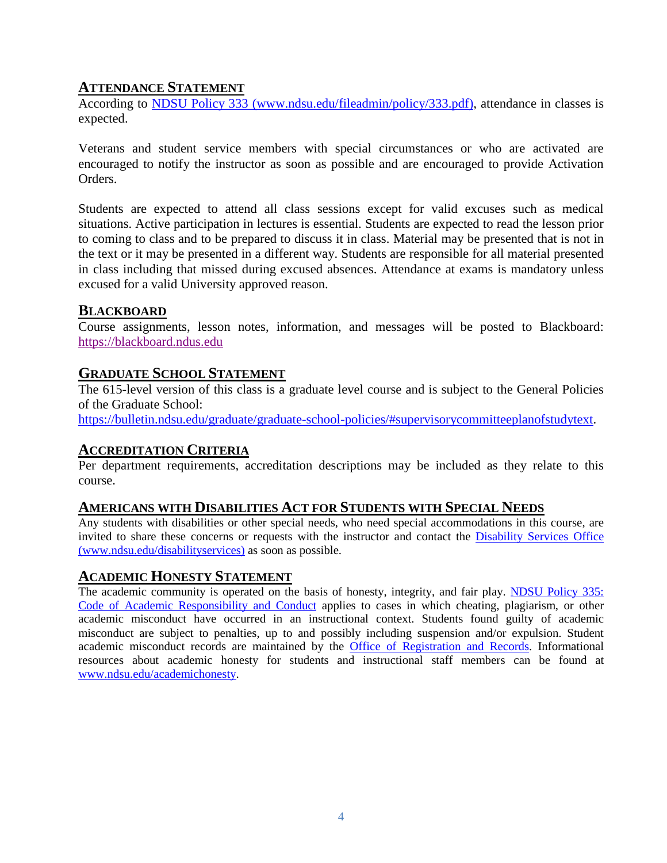## **ATTENDANCE STATEMENT**

According to [NDSU Policy 333 \(www.ndsu.edu/fileadmin/policy/333.pdf\),](http://www.ndsu.edu/fileadmin/policy/333.pdf) attendance in classes is expected.

Veterans and student service members with special circumstances or who are activated are encouraged to notify the instructor as soon as possible and are encouraged to provide Activation Orders.

Students are expected to attend all class sessions except for valid excuses such as medical situations. Active participation in lectures is essential. Students are expected to read the lesson prior to coming to class and to be prepared to discuss it in class. Material may be presented that is not in the text or it may be presented in a different way. Students are responsible for all material presented in class including that missed during excused absences. Attendance at exams is mandatory unless excused for a valid University approved reason.

## **BLACKBOARD**

Course assignments, lesson notes, information, and messages will be posted to Blackboard: [https://blackboard.ndus.edu](https://blackboard.ndus.edu/)

## **GRADUATE SCHOOL STATEMENT**

The 615-level version of this class is a graduate level course and is subject to the General Policies of the Graduate School:

[https://bulletin.ndsu.edu/graduate/graduate-school-policies/#supervisorycommitteeplanofstudytext.](https://bulletin.ndsu.edu/graduate/graduate-school-policies/#supervisorycommitteeplanofstudytext)

## **ACCREDITATION CRITERIA**

Per department requirements, accreditation descriptions may be included as they relate to this course.

#### **AMERICANS WITH DISABILITIES ACT FOR STUDENTS WITH SPECIAL NEEDS**

Any students with disabilities or other special needs, who need special accommodations in this course, are invited to share these concerns or requests with the instructor and contact the [Disability Services Office](http://www.ndsu.edu/disabilityservices/)  [\(www.ndsu.edu/disabilityservices\)](http://www.ndsu.edu/disabilityservices/) as soon as possible.

## **ACADEMIC HONESTY STATEMENT**

The academic community is operated on the basis of honesty, integrity, and fair play. [NDSU Policy 335:](http://www.ndsu.edu/fileadmin/policy/335.pdf)  [Code of Academic Responsibility and Conduct](http://www.ndsu.edu/fileadmin/policy/335.pdf) applies to cases in which cheating, plagiarism, or other academic misconduct have occurred in an instructional context. Students found guilty of academic misconduct are subject to penalties, up to and possibly including suspension and/or expulsion. Student academic misconduct records are maintained by the [Office of Registration and Records.](http://www.ndsu.edu/registrar/) Informational resources about academic honesty for students and instructional staff members can be found at [www.ndsu.edu/academichonesty.](http://www.ndsu.edu/academichonesty)